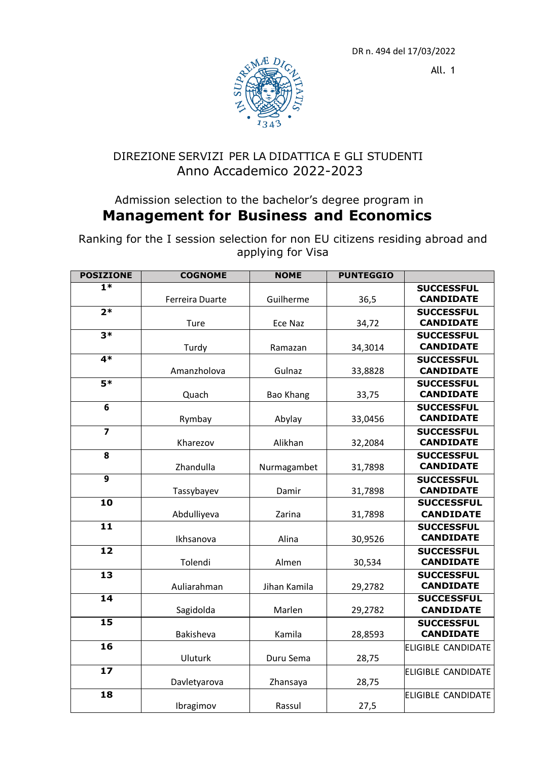DR n. 494 del 17/03/2022

All. 1



## DIREZIONE SERVIZI PER LA DIDATTICA E GLI STUDENTI Anno Accademico 2022-2023

## Admission selection to the bachelor's degree program in **Management for Business and Economics**

Ranking for the I session selection for non EU citizens residing abroad and applying for Visa

| <b>POSIZIONE</b>          | <b>COGNOME</b>  | <b>NOME</b>      | <b>PUNTEGGIO</b> |                                       |
|---------------------------|-----------------|------------------|------------------|---------------------------------------|
| $\overline{1*}$           |                 |                  |                  | <b>SUCCESSFUL</b>                     |
|                           | Ferreira Duarte | Guilherme        | 36,5             | <b>CANDIDATE</b>                      |
| $\overline{2*}$           |                 |                  |                  | <b>SUCCESSFUL</b>                     |
|                           | Ture            | Ece Naz          | 34,72            | <b>CANDIDATE</b>                      |
| $3*$                      |                 |                  |                  | <b>SUCCESSFUL</b>                     |
|                           | Turdy           | Ramazan          | 34,3014          | <b>CANDIDATE</b>                      |
| $4*$                      |                 |                  |                  | <b>SUCCESSFUL</b>                     |
|                           | Amanzholova     | Gulnaz           | 33,8828          | <b>CANDIDATE</b>                      |
| $\overline{\mathbf{5}^*}$ |                 |                  |                  | <b>SUCCESSFUL</b>                     |
|                           | Quach           | <b>Bao Khang</b> | 33,75            | <b>CANDIDATE</b>                      |
| 6                         |                 |                  |                  | <b>SUCCESSFUL</b><br><b>CANDIDATE</b> |
|                           | Rymbay          | Abylay           | 33,0456          |                                       |
| $\overline{7}$            |                 |                  |                  | <b>SUCCESSFUL</b><br><b>CANDIDATE</b> |
|                           | Kharezov        | Alikhan          | 32,2084          |                                       |
| 8                         | Zhandulla       |                  |                  | <b>SUCCESSFUL</b><br><b>CANDIDATE</b> |
| $\overline{9}$            |                 | Nurmagambet      | 31,7898          |                                       |
|                           | Tassybayev      | Damir            |                  | <b>SUCCESSFUL</b><br><b>CANDIDATE</b> |
| $\overline{10}$           |                 |                  | 31,7898          | <b>SUCCESSFUL</b>                     |
|                           | Abdulliyeva     | Zarina           | 31,7898          | <b>CANDIDATE</b>                      |
| $\overline{11}$           |                 |                  |                  | <b>SUCCESSFUL</b>                     |
|                           | Ikhsanova       | Alina            | 30,9526          | <b>CANDIDATE</b>                      |
| $\overline{12}$           |                 |                  |                  | <b>SUCCESSFUL</b>                     |
|                           | Tolendi         | Almen            | 30,534           | <b>CANDIDATE</b>                      |
| $\overline{13}$           |                 |                  |                  | <b>SUCCESSFUL</b>                     |
|                           | Auliarahman     | Jihan Kamila     | 29,2782          | <b>CANDIDATE</b>                      |
| $\overline{14}$           |                 |                  |                  | <b>SUCCESSFUL</b>                     |
|                           | Sagidolda       | Marlen           | 29,2782          | <b>CANDIDATE</b>                      |
| $\overline{15}$           |                 |                  |                  | <b>SUCCESSFUL</b>                     |
|                           | Bakisheva       | Kamila           | 28,8593          | <b>CANDIDATE</b>                      |
| 16                        |                 |                  |                  | <b>ELIGIBLE CANDIDATE</b>             |
|                           | Uluturk         | Duru Sema        | 28,75            |                                       |
| 17                        |                 |                  |                  | ELIGIBLE CANDIDATE                    |
|                           | Davletyarova    | Zhansaya         | 28,75            |                                       |
| 18                        |                 |                  |                  | <b>ELIGIBLE CANDIDATE</b>             |
|                           | Ibragimov       | Rassul           | 27,5             |                                       |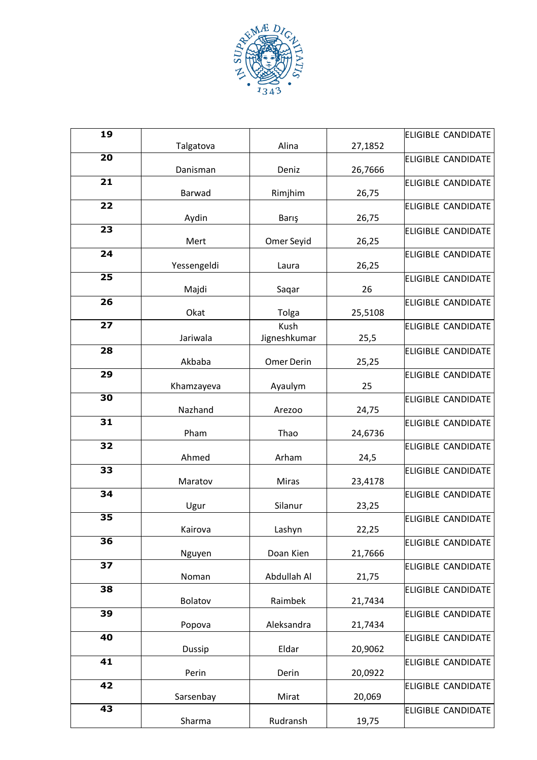

| 19              | Talgatova      | Alina                | 27,1852 | <b>ELIGIBLE CANDIDATE</b> |
|-----------------|----------------|----------------------|---------|---------------------------|
| $\overline{20}$ | Danisman       | Deniz                | 26,7666 | <b>ELIGIBLE CANDIDATE</b> |
| 21              | Barwad         | Rimjhim              | 26,75   | <b>ELIGIBLE CANDIDATE</b> |
| 22              | Aydin          | Barış                | 26,75   | <b>ELIGIBLE CANDIDATE</b> |
| 23              | Mert           | Omer Seyid           | 26,25   | <b>ELIGIBLE CANDIDATE</b> |
| 24              | Yessengeldi    | Laura                | 26,25   | <b>ELIGIBLE CANDIDATE</b> |
| $\overline{25}$ | Majdi          | Saqar                | 26      | <b>ELIGIBLE CANDIDATE</b> |
| 26              | Okat           | Tolga                | 25,5108 | <b>ELIGIBLE CANDIDATE</b> |
| 27              | Jariwala       | Kush<br>Jigneshkumar | 25,5    | <b>ELIGIBLE CANDIDATE</b> |
| 28              | Akbaba         | Omer Derin           | 25,25   | <b>ELIGIBLE CANDIDATE</b> |
| 29              | Khamzayeva     | Ayaulym              | 25      | <b>ELIGIBLE CANDIDATE</b> |
| 30              | Nazhand        | Arezoo               | 24,75   | <b>ELIGIBLE CANDIDATE</b> |
| 31              | Pham           | Thao                 | 24,6736 | <b>ELIGIBLE CANDIDATE</b> |
| 32              | Ahmed          | Arham                | 24,5    | <b>ELIGIBLE CANDIDATE</b> |
| 33              | Maratov        | Miras                | 23,4178 | <b>ELIGIBLE CANDIDATE</b> |
| 34              | Ugur           | Silanur              | 23,25   | <b>ELIGIBLE CANDIDATE</b> |
| $\overline{35}$ | Kairova        | Lashyn               | 22,25   | <b>ELIGIBLE CANDIDATE</b> |
| 36              | Nguyen         | Doan Kien            | 21,7666 | <b>ELIGIBLE CANDIDATE</b> |
| 37              | Noman          | Abdullah Al          | 21,75   | <b>ELIGIBLE CANDIDATE</b> |
| 38              | <b>Bolatov</b> | Raimbek              | 21,7434 | <b>ELIGIBLE CANDIDATE</b> |
| 39              | Popova         | Aleksandra           | 21,7434 | <b>ELIGIBLE CANDIDATE</b> |
| 40              | Dussip         | Eldar                | 20,9062 | <b>ELIGIBLE CANDIDATE</b> |
| 41              | Perin          | Derin                | 20,0922 | <b>ELIGIBLE CANDIDATE</b> |
| 42              | Sarsenbay      | Mirat                | 20,069  | <b>ELIGIBLE CANDIDATE</b> |
| $\overline{43}$ | Sharma         | Rudransh             | 19,75   | <b>ELIGIBLE CANDIDATE</b> |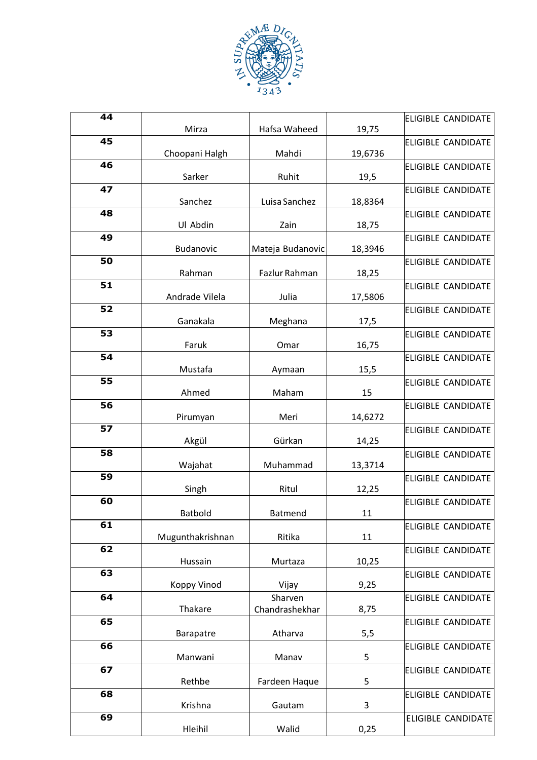

| $\overline{44}$ |                  |                  |         | <b>ELIGIBLE CANDIDATE</b> |
|-----------------|------------------|------------------|---------|---------------------------|
| 45              | Mirza            | Hafsa Waheed     | 19,75   | <b>ELIGIBLE CANDIDATE</b> |
|                 | Choopani Halgh   | Mahdi            | 19,6736 |                           |
| 46              |                  |                  |         | <b>ELIGIBLE CANDIDATE</b> |
| 47              | Sarker           | Ruhit            | 19,5    | <b>ELIGIBLE CANDIDATE</b> |
|                 | Sanchez          | Luisa Sanchez    | 18,8364 |                           |
| 48              |                  |                  |         | <b>ELIGIBLE CANDIDATE</b> |
| 49              | Ul Abdin         | Zain             | 18,75   |                           |
|                 | Budanovic        | Mateja Budanovic | 18,3946 | <b>ELIGIBLE CANDIDATE</b> |
| 50              |                  |                  |         | <b>ELIGIBLE CANDIDATE</b> |
|                 | Rahman           | Fazlur Rahman    | 18,25   |                           |
| 51              | Andrade Vilela   | Julia            |         | <b>ELIGIBLE CANDIDATE</b> |
| 52              |                  |                  | 17,5806 | <b>ELIGIBLE CANDIDATE</b> |
|                 | Ganakala         | Meghana          | 17,5    |                           |
| 53              |                  |                  |         | <b>ELIGIBLE CANDIDATE</b> |
| 54              | Faruk            | Omar             | 16,75   |                           |
|                 | Mustafa          | Aymaan           | 15,5    | <b>ELIGIBLE CANDIDATE</b> |
| $\overline{55}$ |                  |                  |         | <b>ELIGIBLE CANDIDATE</b> |
|                 | Ahmed            | Maham            | 15      |                           |
| 56              | Pirumyan         | Meri             | 14,6272 | <b>ELIGIBLE CANDIDATE</b> |
| $\overline{57}$ |                  |                  |         | <b>ELIGIBLE CANDIDATE</b> |
|                 | Akgül            | Gürkan           | 14,25   |                           |
| 58              |                  |                  |         | <b>ELIGIBLE CANDIDATE</b> |
| 59              | Wajahat          | Muhammad         | 13,3714 | <b>ELIGIBLE CANDIDATE</b> |
|                 | Singh            | Ritul            | 12,25   |                           |
| 60              |                  |                  |         | <b>ELIGIBLE CANDIDATE</b> |
|                 | Batbold          | Batmend          | 11      |                           |
| 61              | Mugunthakrishnan | Ritika           | 11      | <b>ELIGIBLE CANDIDATE</b> |
| 62              |                  |                  |         | <b>ELIGIBLE CANDIDATE</b> |
|                 | Hussain          | Murtaza          | 10,25   |                           |
| 63              |                  |                  |         | <b>ELIGIBLE CANDIDATE</b> |
| 64              | Koppy Vinod      | Vijay<br>Sharven | 9,25    | <b>ELIGIBLE CANDIDATE</b> |
|                 | Thakare          | Chandrashekhar   | 8,75    |                           |
| 65              |                  |                  |         | <b>ELIGIBLE CANDIDATE</b> |
|                 | Barapatre        | Atharva          | 5,5     |                           |
| 66              | Manwani          | Manav            | 5       | <b>ELIGIBLE CANDIDATE</b> |
| 67              |                  |                  |         | <b>ELIGIBLE CANDIDATE</b> |
|                 | Rethbe           | Fardeen Haque    | 5       |                           |
| 68              |                  |                  |         | <b>ELIGIBLE CANDIDATE</b> |
| 69              | Krishna          | Gautam           | 3       | ELIGIBLE CANDIDATE        |
|                 | Hleihil          | Walid            | 0,25    |                           |